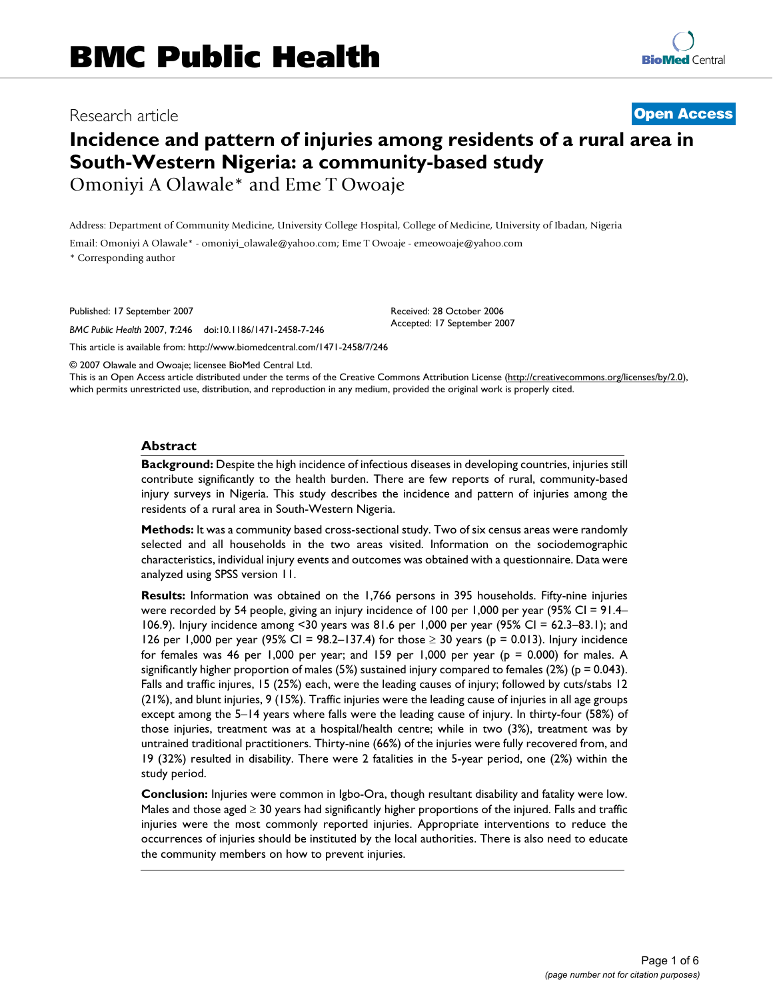# Research article **[Open Access](http://www.biomedcentral.com/info/about/charter/)**

# **Incidence and pattern of injuries among residents of a rural area in South-Western Nigeria: a community-based study** Omoniyi A Olawale\* and Eme T Owoaje

Address: Department of Community Medicine, University College Hospital, College of Medicine, University of Ibadan, Nigeria

Email: Omoniyi A Olawale\* - omoniyi\_olawale@yahoo.com; Eme T Owoaje - emeowoaje@yahoo.com

\* Corresponding author

Published: 17 September 2007

*BMC Public Health* 2007, **7**:246 doi:10.1186/1471-2458-7-246

[This article is available from: http://www.biomedcentral.com/1471-2458/7/246](http://www.biomedcentral.com/1471-2458/7/246)

© 2007 Olawale and Owoaje; licensee BioMed Central Ltd.

This is an Open Access article distributed under the terms of the Creative Commons Attribution License [\(http://creativecommons.org/licenses/by/2.0\)](http://creativecommons.org/licenses/by/2.0), which permits unrestricted use, distribution, and reproduction in any medium, provided the original work is properly cited.

Received: 28 October 2006 Accepted: 17 September 2007

#### **Abstract**

**Background:** Despite the high incidence of infectious diseases in developing countries, injuries still contribute significantly to the health burden. There are few reports of rural, community-based injury surveys in Nigeria. This study describes the incidence and pattern of injuries among the residents of a rural area in South-Western Nigeria.

**Methods:** It was a community based cross-sectional study. Two of six census areas were randomly selected and all households in the two areas visited. Information on the sociodemographic characteristics, individual injury events and outcomes was obtained with a questionnaire. Data were analyzed using SPSS version 11.

**Results:** Information was obtained on the 1,766 persons in 395 households. Fifty-nine injuries were recorded by 54 people, giving an injury incidence of 100 per 1,000 per year (95% CI = 91.4– 106.9). Injury incidence among <30 years was 81.6 per 1,000 per year (95% CI = 62.3–83.1); and 126 per 1,000 per year (95% CI = 98.2–137.4) for those  $\geq$  30 years (p = 0.013). Injury incidence for females was 46 per 1,000 per year; and 159 per 1,000 per year ( $p = 0.000$ ) for males. A significantly higher proportion of males (5%) sustained injury compared to females (2%) ( $p = 0.043$ ). Falls and traffic injures, 15 (25%) each, were the leading causes of injury; followed by cuts/stabs 12 (21%), and blunt injuries, 9 (15%). Traffic injuries were the leading cause of injuries in all age groups except among the 5–14 years where falls were the leading cause of injury. In thirty-four (58%) of those injuries, treatment was at a hospital/health centre; while in two (3%), treatment was by untrained traditional practitioners. Thirty-nine (66%) of the injuries were fully recovered from, and 19 (32%) resulted in disability. There were 2 fatalities in the 5-year period, one (2%) within the study period.

**Conclusion:** Injuries were common in Igbo-Ora, though resultant disability and fatality were low. Males and those aged ≥ 30 years had significantly higher proportions of the injured. Falls and traffic injuries were the most commonly reported injuries. Appropriate interventions to reduce the occurrences of injuries should be instituted by the local authorities. There is also need to educate the community members on how to prevent injuries.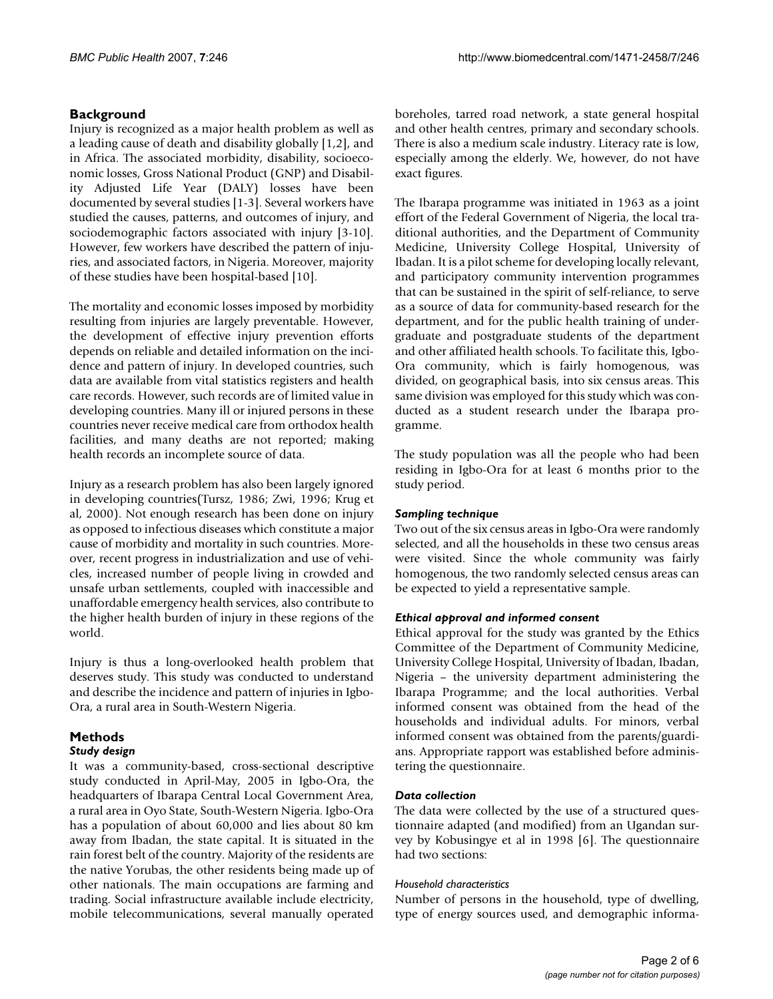## **Background**

Injury is recognized as a major health problem as well as a leading cause of death and disability globally [1,2], and in Africa. The associated morbidity, disability, socioeconomic losses, Gross National Product (GNP) and Disability Adjusted Life Year (DALY) losses have been documented by several studies [1-3]. Several workers have studied the causes, patterns, and outcomes of injury, and sociodemographic factors associated with injury [3-10]. However, few workers have described the pattern of injuries, and associated factors, in Nigeria. Moreover, majority of these studies have been hospital-based [10].

The mortality and economic losses imposed by morbidity resulting from injuries are largely preventable. However, the development of effective injury prevention efforts depends on reliable and detailed information on the incidence and pattern of injury. In developed countries, such data are available from vital statistics registers and health care records. However, such records are of limited value in developing countries. Many ill or injured persons in these countries never receive medical care from orthodox health facilities, and many deaths are not reported; making health records an incomplete source of data.

Injury as a research problem has also been largely ignored in developing countries(Tursz, 1986; Zwi, 1996; Krug et al, 2000). Not enough research has been done on injury as opposed to infectious diseases which constitute a major cause of morbidity and mortality in such countries. Moreover, recent progress in industrialization and use of vehicles, increased number of people living in crowded and unsafe urban settlements, coupled with inaccessible and unaffordable emergency health services, also contribute to the higher health burden of injury in these regions of the world.

Injury is thus a long-overlooked health problem that deserves study. This study was conducted to understand and describe the incidence and pattern of injuries in Igbo-Ora, a rural area in South-Western Nigeria.

## **Methods**

#### *Study design*

It was a community-based, cross-sectional descriptive study conducted in April-May, 2005 in Igbo-Ora, the headquarters of Ibarapa Central Local Government Area, a rural area in Oyo State, South-Western Nigeria. Igbo-Ora has a population of about 60,000 and lies about 80 km away from Ibadan, the state capital. It is situated in the rain forest belt of the country. Majority of the residents are the native Yorubas, the other residents being made up of other nationals. The main occupations are farming and trading. Social infrastructure available include electricity, mobile telecommunications, several manually operated

boreholes, tarred road network, a state general hospital and other health centres, primary and secondary schools. There is also a medium scale industry. Literacy rate is low, especially among the elderly. We, however, do not have exact figures.

The Ibarapa programme was initiated in 1963 as a joint effort of the Federal Government of Nigeria, the local traditional authorities, and the Department of Community Medicine, University College Hospital, University of Ibadan. It is a pilot scheme for developing locally relevant, and participatory community intervention programmes that can be sustained in the spirit of self-reliance, to serve as a source of data for community-based research for the department, and for the public health training of undergraduate and postgraduate students of the department and other affiliated health schools. To facilitate this, Igbo-Ora community, which is fairly homogenous, was divided, on geographical basis, into six census areas. This same division was employed for this study which was conducted as a student research under the Ibarapa programme.

The study population was all the people who had been residing in Igbo-Ora for at least 6 months prior to the study period.

#### *Sampling technique*

Two out of the six census areas in Igbo-Ora were randomly selected, and all the households in these two census areas were visited. Since the whole community was fairly homogenous, the two randomly selected census areas can be expected to yield a representative sample.

#### *Ethical approval and informed consent*

Ethical approval for the study was granted by the Ethics Committee of the Department of Community Medicine, University College Hospital, University of Ibadan, Ibadan, Nigeria – the university department administering the Ibarapa Programme; and the local authorities. Verbal informed consent was obtained from the head of the households and individual adults. For minors, verbal informed consent was obtained from the parents/guardians. Appropriate rapport was established before administering the questionnaire.

#### *Data collection*

The data were collected by the use of a structured questionnaire adapted (and modified) from an Ugandan survey by Kobusingye et al in 1998 [6]. The questionnaire had two sections:

#### *Household characteristics*

Number of persons in the household, type of dwelling, type of energy sources used, and demographic informa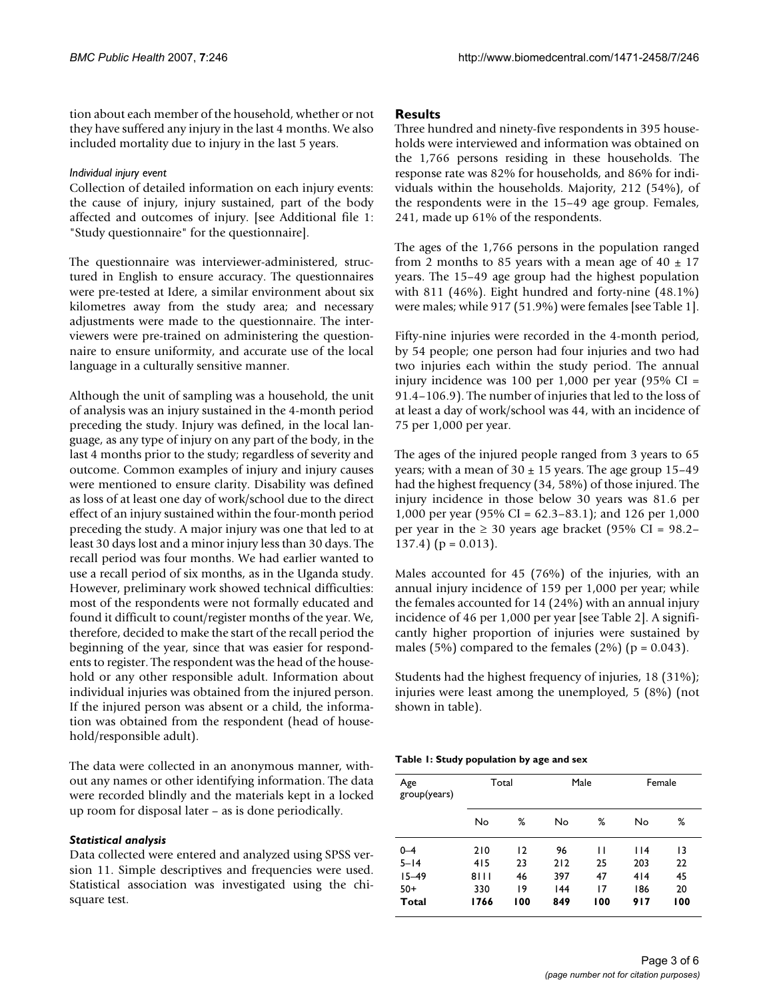tion about each member of the household, whether or not they have suffered any injury in the last 4 months. We also included mortality due to injury in the last 5 years.

#### *Individual injury event*

Collection of detailed information on each injury events: the cause of injury, injury sustained, part of the body affected and outcomes of injury. [see Additional file 1: "Study questionnaire" for the questionnaire].

The questionnaire was interviewer-administered, structured in English to ensure accuracy. The questionnaires were pre-tested at Idere, a similar environment about six kilometres away from the study area; and necessary adjustments were made to the questionnaire. The interviewers were pre-trained on administering the questionnaire to ensure uniformity, and accurate use of the local language in a culturally sensitive manner.

Although the unit of sampling was a household, the unit of analysis was an injury sustained in the 4-month period preceding the study. Injury was defined, in the local language, as any type of injury on any part of the body, in the last 4 months prior to the study; regardless of severity and outcome. Common examples of injury and injury causes were mentioned to ensure clarity. Disability was defined as loss of at least one day of work/school due to the direct effect of an injury sustained within the four-month period preceding the study. A major injury was one that led to at least 30 days lost and a minor injury less than 30 days. The recall period was four months. We had earlier wanted to use a recall period of six months, as in the Uganda study. However, preliminary work showed technical difficulties: most of the respondents were not formally educated and found it difficult to count/register months of the year. We, therefore, decided to make the start of the recall period the beginning of the year, since that was easier for respondents to register. The respondent was the head of the household or any other responsible adult. Information about individual injuries was obtained from the injured person. If the injured person was absent or a child, the information was obtained from the respondent (head of household/responsible adult).

The data were collected in an anonymous manner, without any names or other identifying information. The data were recorded blindly and the materials kept in a locked up room for disposal later – as is done periodically.

#### *Statistical analysis*

Data collected were entered and analyzed using SPSS version 11. Simple descriptives and frequencies were used. Statistical association was investigated using the chisquare test.

#### **Results**

Three hundred and ninety-five respondents in 395 households were interviewed and information was obtained on the 1,766 persons residing in these households. The response rate was 82% for households, and 86% for individuals within the households. Majority, 212 (54%), of the respondents were in the 15–49 age group. Females, 241, made up 61% of the respondents.

The ages of the 1,766 persons in the population ranged from 2 months to 85 years with a mean age of 40  $\pm$  17 years. The 15–49 age group had the highest population with 811 (46%). Eight hundred and forty-nine (48.1%) were males; while 917 (51.9%) were females [see Table 1].

Fifty-nine injuries were recorded in the 4-month period, by 54 people; one person had four injuries and two had two injuries each within the study period. The annual injury incidence was 100 per 1,000 per year (95% CI = 91.4–106.9). The number of injuries that led to the loss of at least a day of work/school was 44, with an incidence of 75 per 1,000 per year.

The ages of the injured people ranged from 3 years to 65 years; with a mean of  $30 \pm 15$  years. The age group 15-49 had the highest frequency (34, 58%) of those injured. The injury incidence in those below 30 years was 81.6 per 1,000 per year (95% CI = 62.3–83.1); and 126 per 1,000 per year in the  $\geq 30$  years age bracket (95% CI = 98.2– 137.4) ( $p = 0.013$ ).

Males accounted for 45 (76%) of the injuries, with an annual injury incidence of 159 per 1,000 per year; while the females accounted for 14 (24%) with an annual injury incidence of 46 per 1,000 per year [see Table 2]. A significantly higher proportion of injuries were sustained by males (5%) compared to the females (2%) ( $p = 0.043$ ).

Students had the highest frequency of injuries, 18 (31%); injuries were least among the unemployed, 5 (8%) (not shown in table).

|  |  | Table 1: Study population by age and sex |  |  |  |  |
|--|--|------------------------------------------|--|--|--|--|
|--|--|------------------------------------------|--|--|--|--|

| Age<br>group(years) |      | Total          |     | Male |     | Female |  |
|---------------------|------|----------------|-----|------|-----|--------|--|
|                     | No   | %              | No  | %    | No  | %      |  |
| $0 - 4$             | 210  | $\overline{2}$ | 96  | П    | 114 | 13     |  |
| $5 - 14$            | 415  | 23             | 212 | 25   | 203 | 22     |  |
| $15 - 49$           | 8111 | 46             | 397 | 47   | 414 | 45     |  |
| $50+$               | 330  | 19             | 44  | 17   | 186 | 20     |  |
| <b>Total</b>        | 1766 | 100            | 849 | 100  | 917 | 100    |  |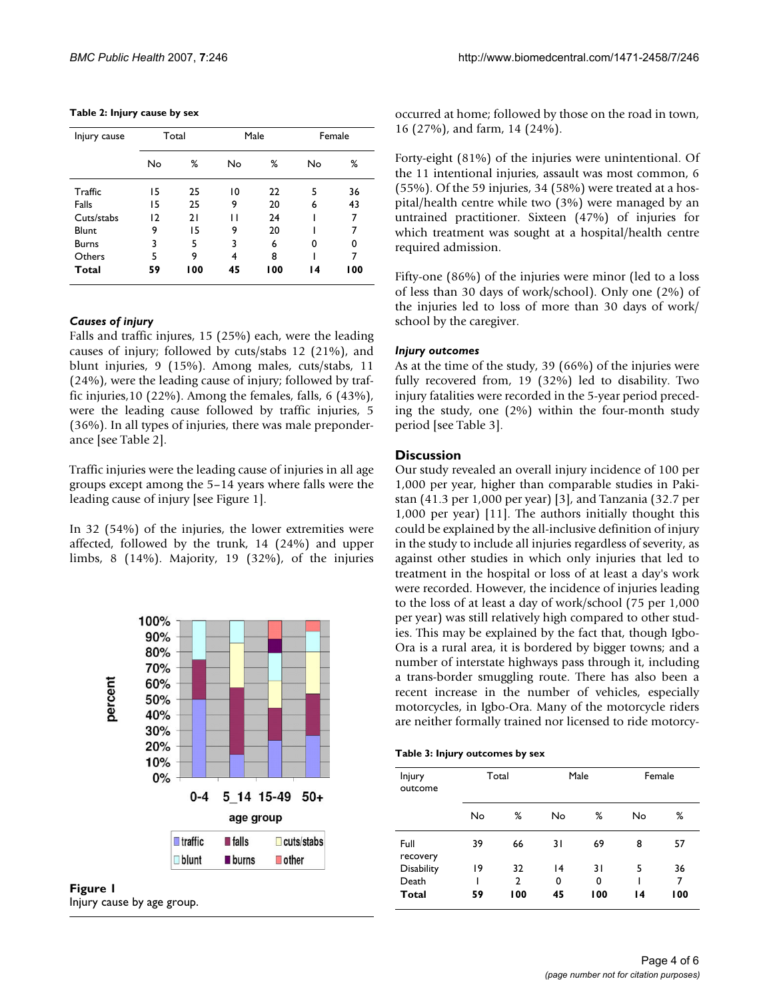|  |  | Table 2: Injury cause by sex |  |  |  |
|--|--|------------------------------|--|--|--|
|--|--|------------------------------|--|--|--|

| Injury cause |    | Total |    | Male |    | Female |
|--------------|----|-------|----|------|----|--------|
|              | No | %     | No | %    | No | %      |
| Traffic      | 15 | 25    | 10 | 22   | 5  | 36     |
| Falls        | 15 | 25    | 9  | 20   | 6  | 43     |
| Cuts/stabs   | 12 | 21    | П  | 24   |    | 7      |
| <b>Blunt</b> | 9  | 15    | 9  | 20   |    | 7      |
| <b>Burns</b> | 3  | 5     | 3  | 6    | 0  | 0      |
| Others       | 5  | 9     | 4  | 8    |    | 7      |
| Total        | 59 | 100   | 45 | 100  | 14 | 100    |

#### *Causes of injury*

Falls and traffic injures, 15 (25%) each, were the leading causes of injury; followed by cuts/stabs 12 (21%), and blunt injuries, 9 (15%). Among males, cuts/stabs, 11 (24%), were the leading cause of injury; followed by traffic injuries,10 (22%). Among the females, falls, 6 (43%), were the leading cause followed by traffic injuries, 5 (36%). In all types of injuries, there was male preponderance [see Table 2].

Traffic injuries were the leading cause of injuries in all age groups except among the 5–14 years where falls were the leading cause of injury [see Figure 1].

In 32 (54%) of the injuries, the lower extremities were affected, followed by the trunk, 14 (24%) and upper limbs, 8 (14%). Majority, 19 (32%), of the injuries



**Figure 1** Injury cause by age group.

occurred at home; followed by those on the road in town, 16 (27%), and farm, 14 (24%).

Forty-eight (81%) of the injuries were unintentional. Of the 11 intentional injuries, assault was most common, 6 (55%). Of the 59 injuries, 34 (58%) were treated at a hospital/health centre while two (3%) were managed by an untrained practitioner. Sixteen (47%) of injuries for which treatment was sought at a hospital/health centre required admission.

Fifty-one (86%) of the injuries were minor (led to a loss of less than 30 days of work/school). Only one (2%) of the injuries led to loss of more than 30 days of work/ school by the caregiver.

#### *Injury outcomes*

As at the time of the study, 39 (66%) of the injuries were fully recovered from, 19 (32%) led to disability. Two injury fatalities were recorded in the 5-year period preceding the study, one (2%) within the four-month study period [see Table 3].

#### **Discussion**

Our study revealed an overall injury incidence of 100 per 1,000 per year, higher than comparable studies in Pakistan (41.3 per 1,000 per year) [3], and Tanzania (32.7 per 1,000 per year) [11]. The authors initially thought this could be explained by the all-inclusive definition of injury in the study to include all injuries regardless of severity, as against other studies in which only injuries that led to treatment in the hospital or loss of at least a day's work were recorded. However, the incidence of injuries leading to the loss of at least a day of work/school (75 per 1,000 per year) was still relatively high compared to other studies. This may be explained by the fact that, though Igbo-Ora is a rural area, it is bordered by bigger towns; and a number of interstate highways pass through it, including a trans-border smuggling route. There has also been a recent increase in the number of vehicles, especially motorcycles, in Igbo-Ora. Many of the motorcycle riders are neither formally trained nor licensed to ride motorcy-

| Table 3: Injury outcomes by sex |
|---------------------------------|
|---------------------------------|

| Injury<br>outcome |    | Total |    | Male |    | Female |  |
|-------------------|----|-------|----|------|----|--------|--|
|                   | No | %     | No | %    | No | %      |  |
| Full<br>recovery  | 39 | 66    | 31 | 69   | 8  | 57     |  |
| <b>Disability</b> | 19 | 32    | 4  | 31   | 5  | 36     |  |
| Death             |    | 2     | 0  | 0    |    | 7      |  |
| Total             | 59 | 100   | 45 | 100  | 14 | 100    |  |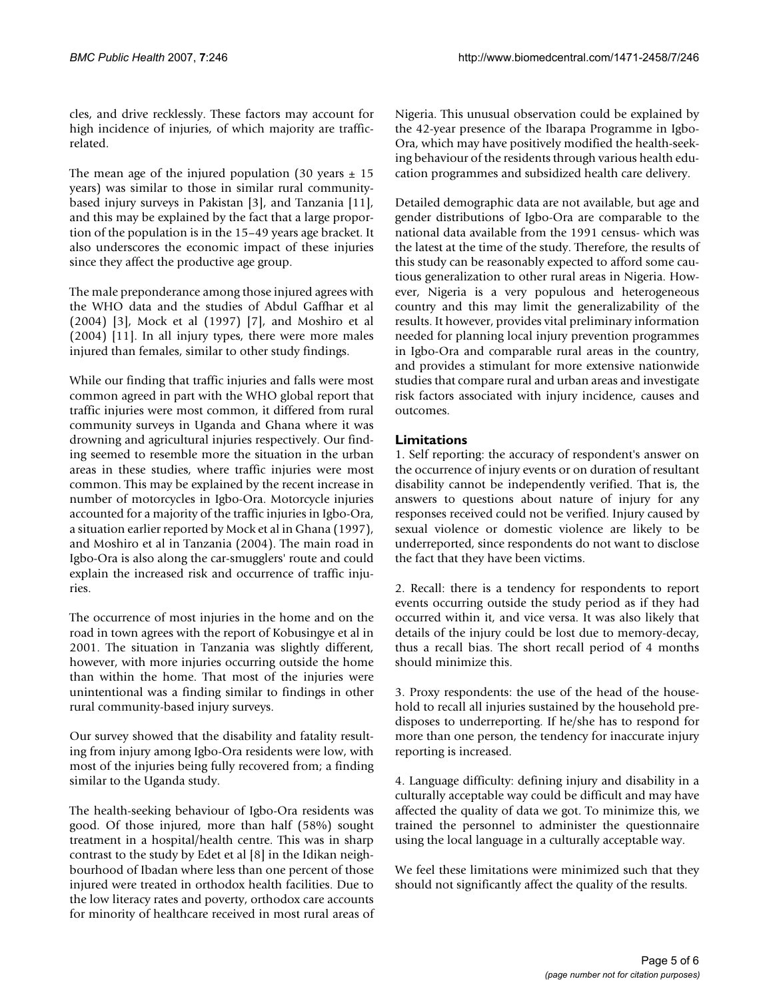cles, and drive recklessly. These factors may account for high incidence of injuries, of which majority are trafficrelated.

The mean age of the injured population (30 years  $\pm$  15 years) was similar to those in similar rural communitybased injury surveys in Pakistan [3], and Tanzania [11], and this may be explained by the fact that a large proportion of the population is in the 15–49 years age bracket. It also underscores the economic impact of these injuries since they affect the productive age group.

The male preponderance among those injured agrees with the WHO data and the studies of Abdul Gaffhar et al (2004) [3], Mock et al (1997) [7], and Moshiro et al (2004) [11]. In all injury types, there were more males injured than females, similar to other study findings.

While our finding that traffic injuries and falls were most common agreed in part with the WHO global report that traffic injuries were most common, it differed from rural community surveys in Uganda and Ghana where it was drowning and agricultural injuries respectively. Our finding seemed to resemble more the situation in the urban areas in these studies, where traffic injuries were most common. This may be explained by the recent increase in number of motorcycles in Igbo-Ora. Motorcycle injuries accounted for a majority of the traffic injuries in Igbo-Ora, a situation earlier reported by Mock et al in Ghana (1997), and Moshiro et al in Tanzania (2004). The main road in Igbo-Ora is also along the car-smugglers' route and could explain the increased risk and occurrence of traffic injuries.

The occurrence of most injuries in the home and on the road in town agrees with the report of Kobusingye et al in 2001. The situation in Tanzania was slightly different, however, with more injuries occurring outside the home than within the home. That most of the injuries were unintentional was a finding similar to findings in other rural community-based injury surveys.

Our survey showed that the disability and fatality resulting from injury among Igbo-Ora residents were low, with most of the injuries being fully recovered from; a finding similar to the Uganda study.

The health-seeking behaviour of Igbo-Ora residents was good. Of those injured, more than half (58%) sought treatment in a hospital/health centre. This was in sharp contrast to the study by Edet et al [8] in the Idikan neighbourhood of Ibadan where less than one percent of those injured were treated in orthodox health facilities. Due to the low literacy rates and poverty, orthodox care accounts for minority of healthcare received in most rural areas of Nigeria. This unusual observation could be explained by the 42-year presence of the Ibarapa Programme in Igbo-Ora, which may have positively modified the health-seeking behaviour of the residents through various health education programmes and subsidized health care delivery.

Detailed demographic data are not available, but age and gender distributions of Igbo-Ora are comparable to the national data available from the 1991 census- which was the latest at the time of the study. Therefore, the results of this study can be reasonably expected to afford some cautious generalization to other rural areas in Nigeria. However, Nigeria is a very populous and heterogeneous country and this may limit the generalizability of the results. It however, provides vital preliminary information needed for planning local injury prevention programmes in Igbo-Ora and comparable rural areas in the country, and provides a stimulant for more extensive nationwide studies that compare rural and urban areas and investigate risk factors associated with injury incidence, causes and outcomes.

## **Limitations**

1. Self reporting: the accuracy of respondent's answer on the occurrence of injury events or on duration of resultant disability cannot be independently verified. That is, the answers to questions about nature of injury for any responses received could not be verified. Injury caused by sexual violence or domestic violence are likely to be underreported, since respondents do not want to disclose the fact that they have been victims.

2. Recall: there is a tendency for respondents to report events occurring outside the study period as if they had occurred within it, and vice versa. It was also likely that details of the injury could be lost due to memory-decay, thus a recall bias. The short recall period of 4 months should minimize this.

3. Proxy respondents: the use of the head of the household to recall all injuries sustained by the household predisposes to underreporting. If he/she has to respond for more than one person, the tendency for inaccurate injury reporting is increased.

4. Language difficulty: defining injury and disability in a culturally acceptable way could be difficult and may have affected the quality of data we got. To minimize this, we trained the personnel to administer the questionnaire using the local language in a culturally acceptable way.

We feel these limitations were minimized such that they should not significantly affect the quality of the results.